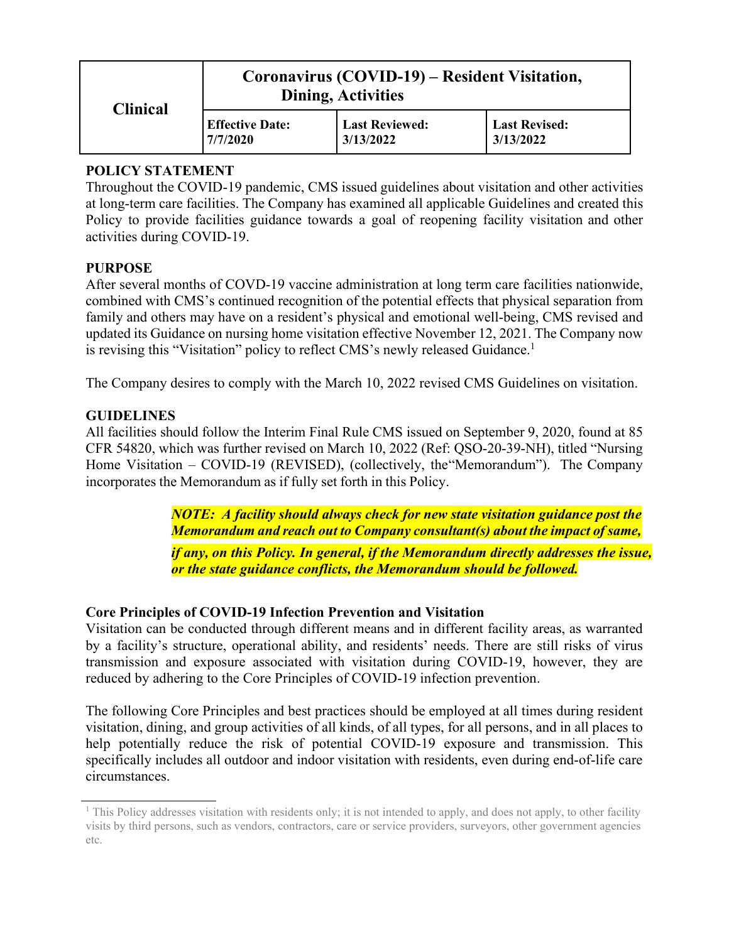| <b>Clinical</b> | Coronavirus (COVID-19) – Resident Visitation,<br><b>Dining, Activities</b> |                                    |                                   |
|-----------------|----------------------------------------------------------------------------|------------------------------------|-----------------------------------|
|                 | <b>Effective Date:</b><br>7/7/2020                                         | <b>Last Reviewed:</b><br>3/13/2022 | <b>Last Revised:</b><br>3/13/2022 |

# **POLICY STATEMENT**

Throughout the COVID-19 pandemic, CMS issued guidelines about visitation and other activities at long-term care facilities. The Company has examined all applicable Guidelines and created this Policy to provide facilities guidance towards a goal of reopening facility visitation and other activities during COVID-19.

## **PURPOSE**

After several months of COVD-19 vaccine administration at long term care facilities nationwide, combined with CMS's continued recognition of the potential effects that physical separation from family and others may have on a resident's physical and emotional well-being, CMS revised and updated its Guidance on nursing home visitation effective November 12, 2021. The Company now is revising this "Visitation" policy to reflect CMS's newly released Guidance.<sup>[1](#page-0-0)</sup>

The Company desires to comply with the March 10, 2022 revised CMS Guidelines on visitation.

## **GUIDELINES**

All facilities should follow the Interim Final Rule CMS issued on September 9, 2020, found at 85 CFR 54820, which was further revised on March 10, 2022 (Ref: QSO-20-39-NH), titled "Nursing Home Visitation – COVID-19 (REVISED), (collectively, the"Memorandum"). The Company incorporates the Memorandum as if fully set forth in this Policy.

> <span id="page-0-0"></span>*NOTE: A facility should always check for new state visitation guidance post the Memorandum and reach out to Company consultant(s) about the impact of same, if any, on this Policy. In general, if the Memorandum directly addresses the issue, or the state guidance conflicts, the Memorandum should be followed.*

### **Core Principles of COVID-19 Infection Prevention and Visitation**

Visitation can be conducted through different means and in different facility areas, as warranted by a facility's structure, operational ability, and residents' needs. There are still risks of virus transmission and exposure associated with visitation during COVID-19, however, they are reduced by adhering to the Core Principles of COVID-19 infection prevention.

The following Core Principles and best practices should be employed at all times during resident visitation, dining, and group activities of all kinds, of all types, for all persons, and in all places to help potentially reduce the risk of potential COVID-19 exposure and transmission. This specifically includes all outdoor and indoor visitation with residents, even during end-of-life care circumstances.

<sup>&</sup>lt;sup>1</sup> This Policy addresses visitation with residents only; it is not intended to apply, and does not apply, to other facility visits by third persons, such as vendors, contractors, care or service providers, surveyors, other government agencies etc.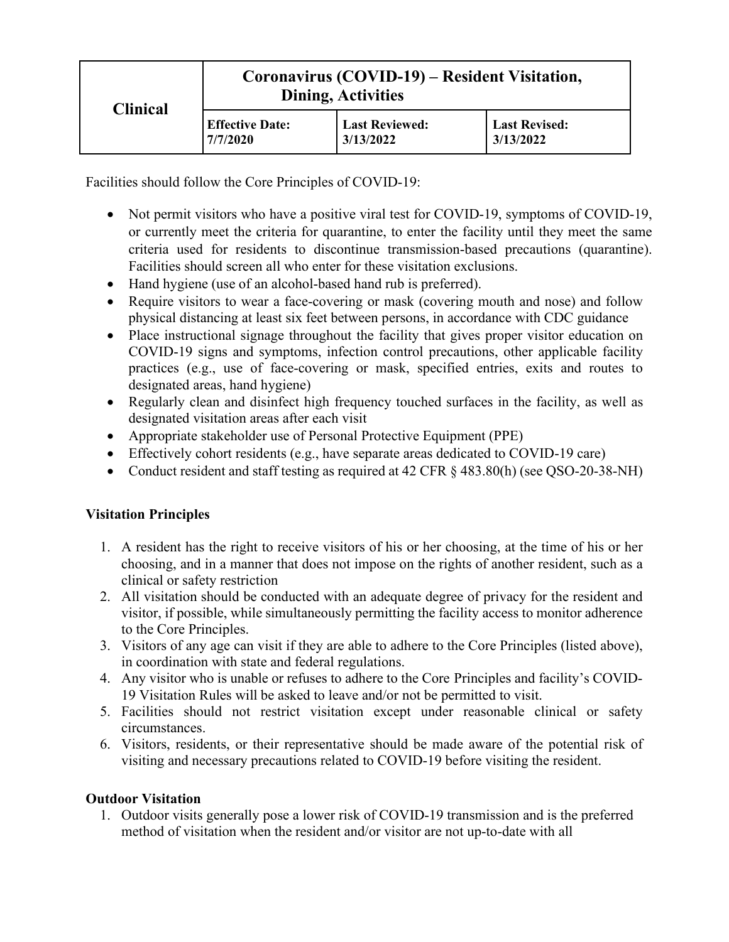| <b>Clinical</b> | Coronavirus (COVID-19) – Resident Visitation,<br><b>Dining, Activities</b> |                                    |                                   |
|-----------------|----------------------------------------------------------------------------|------------------------------------|-----------------------------------|
|                 | <b>Effective Date:</b><br>7/7/2020                                         | <b>Last Reviewed:</b><br>3/13/2022 | <b>Last Revised:</b><br>3/13/2022 |

Facilities should follow the Core Principles of COVID-19:

- Not permit visitors who have a positive viral test for COVID-19, symptoms of COVID-19, or currently meet the criteria for quarantine, to enter the facility until they meet the same criteria used for residents to discontinue transmission-based precautions (quarantine). Facilities should screen all who enter for these visitation exclusions.
- Hand hygiene (use of an alcohol-based hand rub is preferred).
- Require visitors to wear a face-covering or mask (covering mouth and nose) and follow physical distancing at least six feet between persons, in accordance with CDC guidance
- Place instructional signage throughout the facility that gives proper visitor education on COVID-19 signs and symptoms, infection control precautions, other applicable facility practices (e.g., use of face-covering or mask, specified entries, exits and routes to designated areas, hand hygiene)
- Regularly clean and disinfect high frequency touched surfaces in the facility, as well as designated visitation areas after each visit
- Appropriate stakeholder use of Personal Protective Equipment (PPE)
- Effectively cohort residents (e.g., have separate areas dedicated to COVID-19 care)
- Conduct resident and staff testing as required at 42 CFR § 483.80(h) (see QSO-20-38-NH)

### **Visitation Principles**

- 1. A resident has the right to receive visitors of his or her choosing, at the time of his or her choosing, and in a manner that does not impose on the rights of another resident, such as a clinical or safety restriction
- 2. All visitation should be conducted with an adequate degree of privacy for the resident and visitor, if possible, while simultaneously permitting the facility access to monitor adherence to the Core Principles.
- 3. Visitors of any age can visit if they are able to adhere to the Core Principles (listed above), in coordination with state and federal regulations.
- 4. Any visitor who is unable or refuses to adhere to the Core Principles and facility's COVID-19 Visitation Rules will be asked to leave and/or not be permitted to visit.
- 5. Facilities should not restrict visitation except under reasonable clinical or safety circumstances.
- 6. Visitors, residents, or their representative should be made aware of the potential risk of visiting and necessary precautions related to COVID-19 before visiting the resident.

### **Outdoor Visitation**

1. Outdoor visits generally pose a lower risk of COVID-19 transmission and is the preferred method of visitation when the resident and/or visitor are not up-to-date with all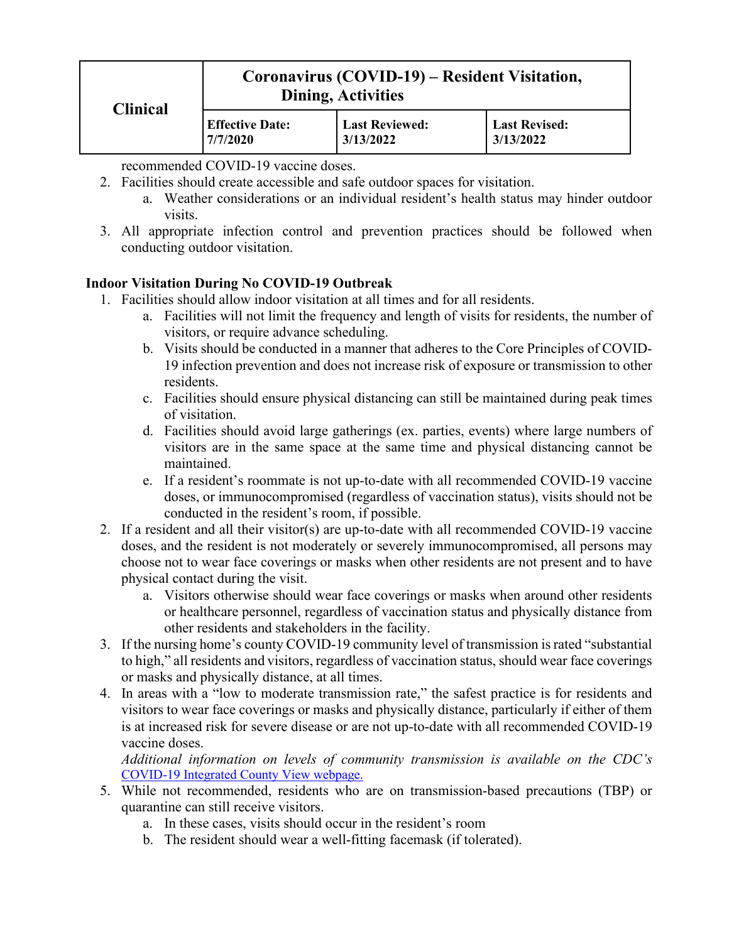| <b>Clinical</b> | Coronavirus (COVID-19) – Resident Visitation,<br><b>Dining, Activities</b> |                                    |                                   |
|-----------------|----------------------------------------------------------------------------|------------------------------------|-----------------------------------|
|                 | <b>Effective Date:</b><br>7/7/2020                                         | <b>Last Reviewed:</b><br>3/13/2022 | <b>Last Revised:</b><br>3/13/2022 |

recommended COVID-19 vaccine doses.

- 2. Facilities should create accessible and safe outdoor spaces for visitation.
	- a. Weather considerations or an individual resident's health status may hinder outdoor visits.
- 3. All appropriate infection control and prevention practices should be followed when conducting outdoor visitation.

## **Indoor Visitation During No COVID-19 Outbreak**

- 1. Facilities should allow indoor visitation at all times and for all residents.
	- a. Facilities will not limit the frequency and length of visits for residents, the number of visitors, or require advance scheduling.
	- b. Visits should be conducted in a manner that adheres to the Core Principles of COVID-19 infection prevention and does not increase risk of exposure or transmission to other residents.
	- c. Facilities should ensure physical distancing can still be maintained during peak times of visitation.
	- d. Facilities should avoid large gatherings (ex. parties, events) where large numbers of visitors are in the same space at the same time and physical distancing cannot be maintained.
	- e. If a resident's roommate is not up-to-date with all recommended COVID-19 vaccine doses, or immunocompromised (regardless of vaccination status), visits should not be conducted in the resident's room, if possible.
- 2. If a resident and all their visitor(s) are up-to-date with all recommended COVID-19 vaccine doses, and the resident is not moderately or severely immunocompromised, all persons may choose not to wear face coverings or masks when other residents are not present and to have physical contact during the visit.
	- a. Visitors otherwise should wear face coverings or masks when around other residents or healthcare personnel, regardless of vaccination status and physically distance from other residents and stakeholders in the facility.
- 3. If the nursing home's county COVID-19 community level of transmission is rated "substantial to high," all residents and visitors, regardless of vaccination status, should wear face coverings or masks and physically distance, at all times.
- 4. In areas with a "low to moderate transmission rate," the safest practice is for residents and visitors to wear face coverings or masks and physically distance, particularly if either of them is at increased risk for severe disease or are not up-to-date with all recommended COVID-19 vaccine doses.

*Additional information on levels of community transmission is available on the CDC's*  [COVID-19 Integrated County View webpage.](https://covid.cdc.gov/covid-data-tracker/#county-view)

- 5. While not recommended, residents who are on transmission-based precautions (TBP) or quarantine can still receive visitors.
	- a. In these cases, visits should occur in the resident's room
	- b. The resident should wear a well-fitting facemask (if tolerated).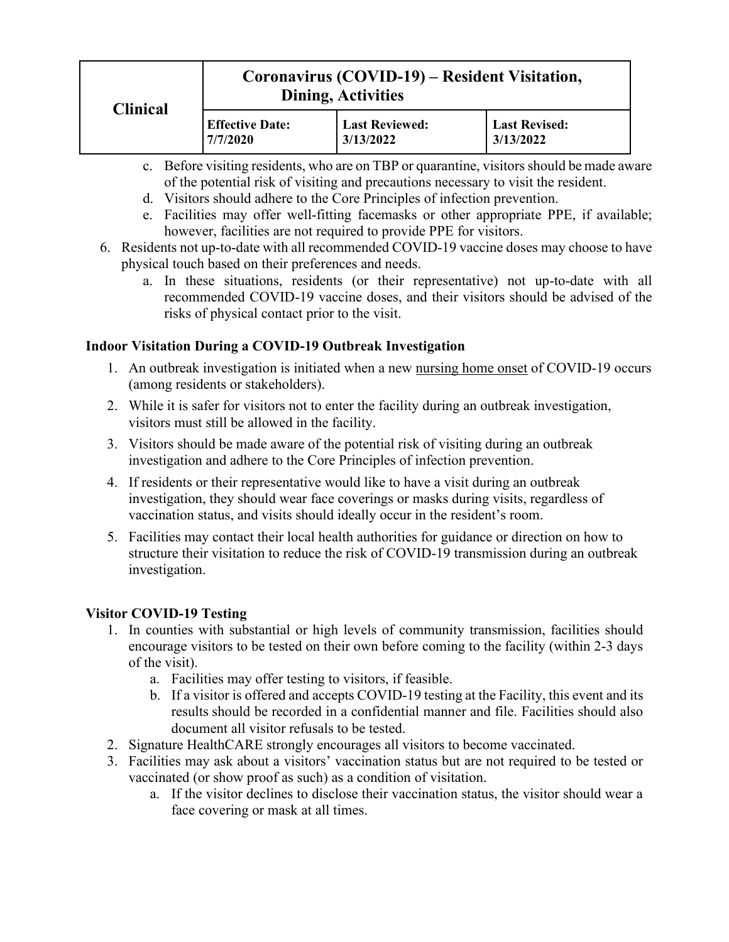| <b>Clinical</b> | Coronavirus (COVID-19) – Resident Visitation,<br><b>Dining, Activities</b> |                                    |                                   |
|-----------------|----------------------------------------------------------------------------|------------------------------------|-----------------------------------|
|                 | <b>Effective Date:</b><br>7/7/2020                                         | <b>Last Reviewed:</b><br>3/13/2022 | <b>Last Revised:</b><br>3/13/2022 |

- c. Before visiting residents, who are on TBP or quarantine, visitors should be made aware of the potential risk of visiting and precautions necessary to visit the resident.
- d. Visitors should adhere to the Core Principles of infection prevention.
- e. Facilities may offer well-fitting facemasks or other appropriate PPE, if available; however, facilities are not required to provide PPE for visitors.
- 6. Residents not up-to-date with all recommended COVID-19 vaccine doses may choose to have physical touch based on their preferences and needs.
	- a. In these situations, residents (or their representative) not up-to-date with all recommended COVID-19 vaccine doses, and their visitors should be advised of the risks of physical contact prior to the visit.

## **Indoor Visitation During a COVID-19 Outbreak Investigation**

- 1. An outbreak investigation is initiated when a new nursing home onset of COVID-19 occurs (among residents or stakeholders).
- 2. While it is safer for visitors not to enter the facility during an outbreak investigation, visitors must still be allowed in the facility.
- 3. Visitors should be made aware of the potential risk of visiting during an outbreak investigation and adhere to the Core Principles of infection prevention.
- 4. If residents or their representative would like to have a visit during an outbreak investigation, they should wear face coverings or masks during visits, regardless of vaccination status, and visits should ideally occur in the resident's room.
- 5. Facilities may contact their local health authorities for guidance or direction on how to structure their visitation to reduce the risk of COVID-19 transmission during an outbreak investigation.

### **Visitor COVID-19 Testing**

- 1. In counties with substantial or high levels of community transmission, facilities should encourage visitors to be tested on their own before coming to the facility (within 2-3 days of the visit).
	- a. Facilities may offer testing to visitors, if feasible.
	- b. If a visitor is offered and accepts COVID-19 testing at the Facility, this event and its results should be recorded in a confidential manner and file. Facilities should also document all visitor refusals to be tested.
- 2. Signature HealthCARE strongly encourages all visitors to become vaccinated.
- 3. Facilities may ask about a visitors' vaccination status but are not required to be tested or vaccinated (or show proof as such) as a condition of visitation.
	- a. If the visitor declines to disclose their vaccination status, the visitor should wear a face covering or mask at all times.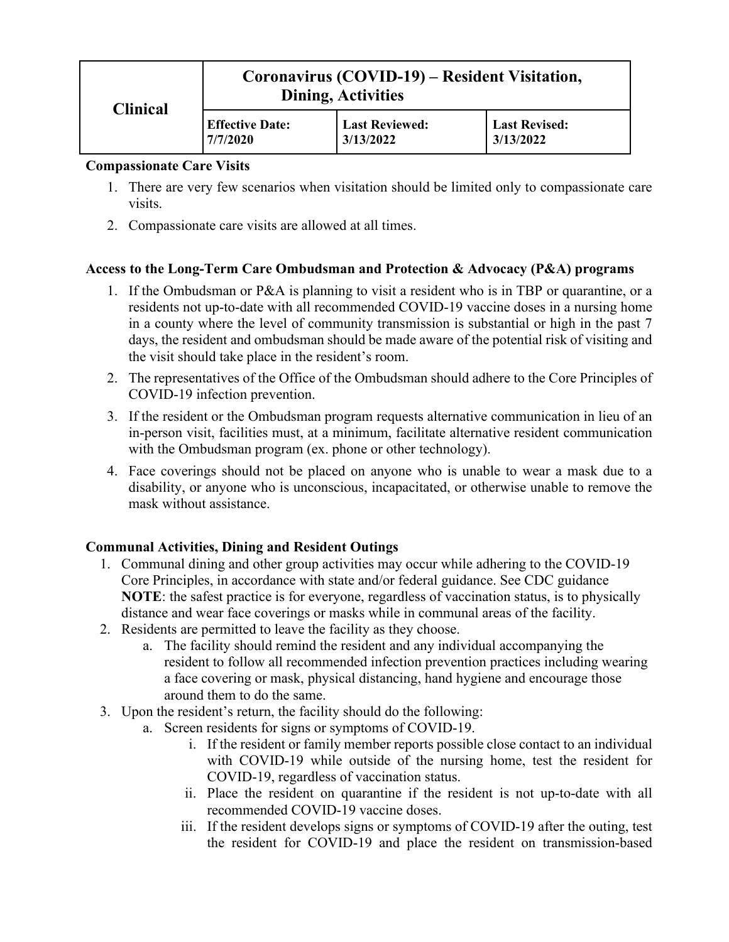| <b>Clinical</b> | Coronavirus (COVID-19) – Resident Visitation,<br><b>Dining, Activities</b> |                                    |                                   |
|-----------------|----------------------------------------------------------------------------|------------------------------------|-----------------------------------|
|                 | <b>Effective Date:</b><br>7/7/2020                                         | <b>Last Reviewed:</b><br>3/13/2022 | <b>Last Revised:</b><br>3/13/2022 |

#### **Compassionate Care Visits**

- 1. There are very few scenarios when visitation should be limited only to compassionate care visits.
- 2. Compassionate care visits are allowed at all times.

### **Access to the Long-Term Care Ombudsman and Protection & Advocacy (P&A) programs**

- 1. If the Ombudsman or P&A is planning to visit a resident who is in TBP or quarantine, or a residents not up-to-date with all recommended COVID-19 vaccine doses in a nursing home in a county where the level of community transmission is substantial or high in the past 7 days, the resident and ombudsman should be made aware of the potential risk of visiting and the visit should take place in the resident's room.
- 2. The representatives of the Office of the Ombudsman should adhere to the Core Principles of COVID-19 infection prevention.
- 3. If the resident or the Ombudsman program requests alternative communication in lieu of an in-person visit, facilities must, at a minimum, facilitate alternative resident communication with the Ombudsman program (ex. phone or other technology).
- 4. Face coverings should not be placed on anyone who is unable to wear a mask due to a disability, or anyone who is unconscious, incapacitated, or otherwise unable to remove the mask without assistance.

### **Communal Activities, Dining and Resident Outings**

- 1. Communal dining and other group activities may occur while adhering to the COVID-19 Core Principles, in accordance with state and/or federal guidance. See CDC guidance **NOTE**: the safest practice is for everyone, regardless of vaccination status, is to physically distance and wear face coverings or masks while in communal areas of the facility.
- 2. Residents are permitted to leave the facility as they choose.
	- a. The facility should remind the resident and any individual accompanying the resident to follow all recommended infection prevention practices including wearing a face covering or mask, physical distancing, hand hygiene and encourage those around them to do the same.
- 3. Upon the resident's return, the facility should do the following:
	- a. Screen residents for signs or symptoms of COVID-19.
		- i. If the resident or family member reports possible close contact to an individual with COVID-19 while outside of the nursing home, test the resident for COVID-19, regardless of vaccination status.
		- ii. Place the resident on quarantine if the resident is not up-to-date with all recommended COVID-19 vaccine doses.
		- iii. If the resident develops signs or symptoms of COVID-19 after the outing, test the resident for COVID-19 and place the resident on transmission-based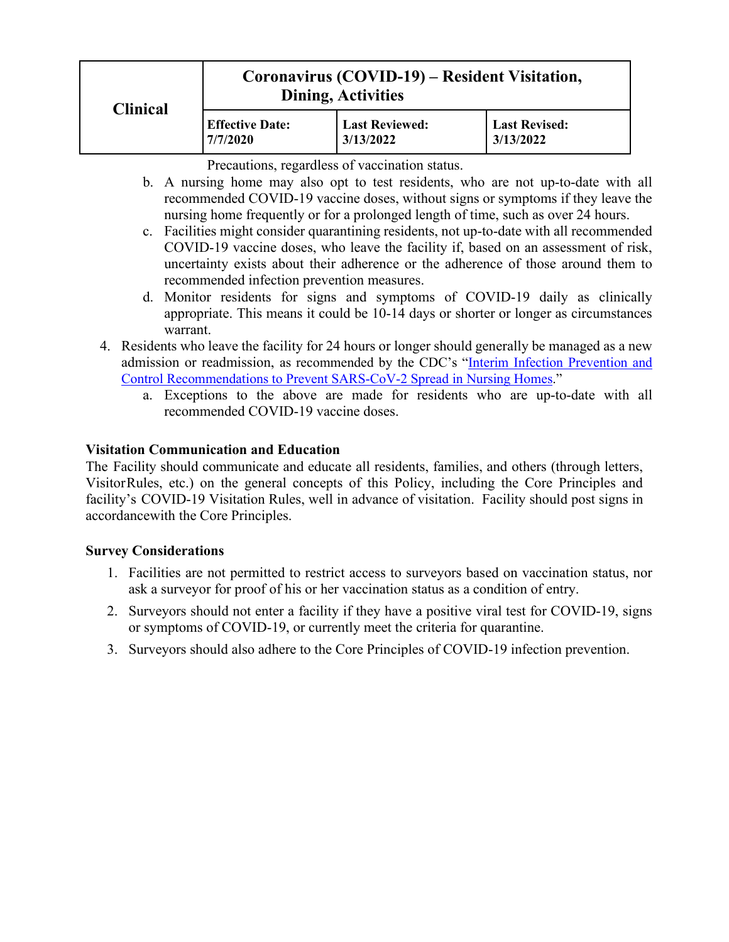| <b>Clinical</b> | Coronavirus (COVID-19) – Resident Visitation,<br><b>Dining, Activities</b> |                                    |                                   |
|-----------------|----------------------------------------------------------------------------|------------------------------------|-----------------------------------|
|                 | <b>Effective Date:</b><br>7/7/2020                                         | <b>Last Reviewed:</b><br>3/13/2022 | <b>Last Revised:</b><br>3/13/2022 |

Precautions, regardless of vaccination status.

- b. A nursing home may also opt to test residents, who are not up-to-date with all recommended COVID-19 vaccine doses, without signs or symptoms if they leave the nursing home frequently or for a prolonged length of time, such as over 24 hours.
- c. Facilities might consider quarantining residents, not up-to-date with all recommended COVID-19 vaccine doses, who leave the facility if, based on an assessment of risk, uncertainty exists about their adherence or the adherence of those around them to recommended infection prevention measures.
- d. Monitor residents for signs and symptoms of COVID-19 daily as clinically appropriate. This means it could be 10-14 days or shorter or longer as circumstances warrant.
- 4. Residents who leave the facility for 24 hours or longer should generally be managed as a new admission or readmission, as recommended by the CDC's "Interim Infection Prevention and Control Recommendations to Prevent SARS-CoV-2 Spread in Nursing Homes."
	- a. Exceptions to the above are made for residents who are up-to-date with all recommended COVID-19 vaccine doses.

## **Visitation Communication and Education**

The Facility should communicate and educate all residents, families, and others (through letters, VisitorRules, etc.) on the general concepts of this Policy, including the Core Principles and facility's COVID-19 Visitation Rules, well in advance of visitation. Facility should post signs in accordancewith the Core Principles.

### **Survey Considerations**

- 1. Facilities are not permitted to restrict access to surveyors based on vaccination status, nor ask a surveyor for proof of his or her vaccination status as a condition of entry.
- 2. Surveyors should not enter a facility if they have a positive viral test for COVID-19, signs or symptoms of COVID-19, or currently meet the criteria for quarantine.
- 3. Surveyors should also adhere to the Core Principles of COVID-19 infection prevention.